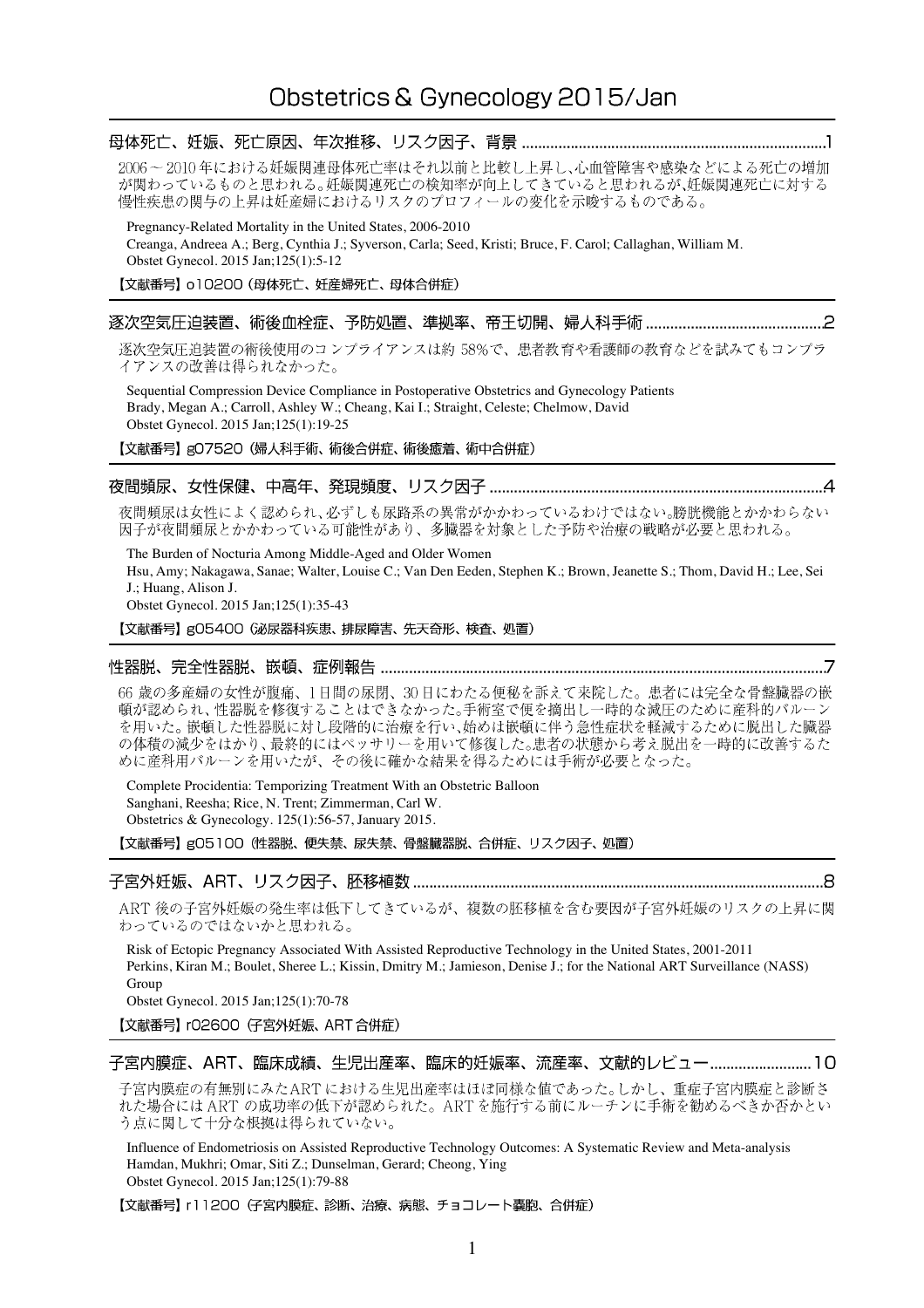2006~2010年における妊娠関連母体死亡率はそれ以前と比較し上昇し、心血管障害や感染などによる死亡の増加 が関わっているものと思われる。妊娠関連死亡の検知率が向上してきていると思われるが、妊娠関連死亡に対する 慢性疾患の関与の上昇は妊産婦におけるリスクのプロフィールの変化を示唆するものである。

Pregnancy-Related Mortality in the United States, 2006-2010 Creanga, Andreea A.; Berg, Cynthia J.; Syverson, Carla; Seed, Kristi; Bruce, F. Carol; Callaghan, William M. Obstet Gynecol. 2015 Jan;125(1):5-12

【文献番号】 o10200 (母体死亡、妊産婦死亡、母体合併症)

#### 

逐次空気圧迫装置の術後使用のコンプライアンスは約 58%で、患者教育や看護師の教育などを試みてもコンプラ イアンスの改善は得られなかった。

Sequential Compression Device Compliance in Postoperative Obstetrics and Gynecology Patients Brady, Megan A.; Carroll, Ashley W.; Cheang, Kai I.; Straight, Celeste; Chelmow, David Obstet Gynecol. 2015 Jan;125(1):19-25

【文献番号】gO7520 (婦人科手術、術後合併症、術後癒着、術中合併症)

### 

夜間頻尿は女性によく認められ、必ずしも尿路系の異常がかかわっているわけではない。膀胱機能とかかわらない 因子が夜間頻尿とかかわっている可能性があり、多臓器を対象とした予防や治療の戦略が必要と思われる。

The Burden of Nocturia Among Middle-Aged and Older Women Hsu, Amy; Nakagawa, Sanae; Walter, Louise C.; Van Den Eeden, Stephen K.; Brown, Jeanette S.; Thom, David H.; Lee, Sei J.; Huang, Alison J.

Obstet Gynecol. 2015 Jan;125(1):35-43

【文献番号】gO5400 (泌尿器科疾患、排尿障害、先天奇形、検査、処置)

#### 

66 歳の多産婦の女性が腹痛、1日間の尿閉、30日にわたる便秘を訴えて来院した。患者には完全な骨盤臓器の嵌 頓が認められ、性器脱を修復することはできなかった。手術室で便を摘出し一時的な減圧のために産科的バルーン を用いた。嵌頓した性器脱に対し段階的に治療を行い、始めは嵌頓に伴う急性症状を軽減するために脱出した臓器 の体積の減少をはかり、最終的にはペッサリーを用いて修復した。患者の状態から考え脱出を一時的に改善するた めに産科用バルーンを用いたが、その後に確かな結果を得るためには手術が必要となった。

Complete Procidentia: Temporizing Treatment With an Obstetric Balloon Sanghani, Reesha; Rice, N. Trent; Zimmerman, Carl W. Obstetrics & Gynecology. 125(1):56-57, January 2015.

【文献番号】g05100 (性器脱、便失禁、尿失禁、骨盤臓器脱、合併症、リスク因子、処置)

#### 

ART 後の子宮外妊娠の発生率は低下してきているが、複数の胚移植を含む要因が子宮外妊娠のリスクの上昇に関 わっているのではないかと思われる。

Risk of Ectopic Pregnancy Associated With Assisted Reproductive Technology in the United States, 2001-2011 Perkins, Kiran M.; Boulet, Sheree L.; Kissin, Dmitry M.; Jamieson, Denise J.; for the National ART Surveillance (NASS) Group

Obstet Gynecol. 2015 Jan;125(1):70-78

【文献番号】 r02600 (子宮外妊娠、ART 合併症)

子宮内膜症、ART、臨床成績、生児出産率、臨床的妊娠率、流産率、文献的レビュー........................10

子宮内膜症の有無別にみたART における生児出産率はほぼ同様な値であった。しかし、重症子宮内膜症と診断さ れた場合には ART の成功率の低下が認められた。ART を施行する前にルーチンに手術を勧めるべきか否かとい う点に関して十分な根拠は得られていない。

Influence of Endometriosis on Assisted Reproductive Technology Outcomes: A Systematic Review and Meta-analysis Hamdan, Mukhri; Omar, Siti Z.; Dunselman, Gerard; Cheong, Ying Obstet Gynecol. 2015 Jan;125(1):79-88

【文献番号】 r11200 (子宮内膜症、診断、治療、病態、チョコレート嚢胞、合併症)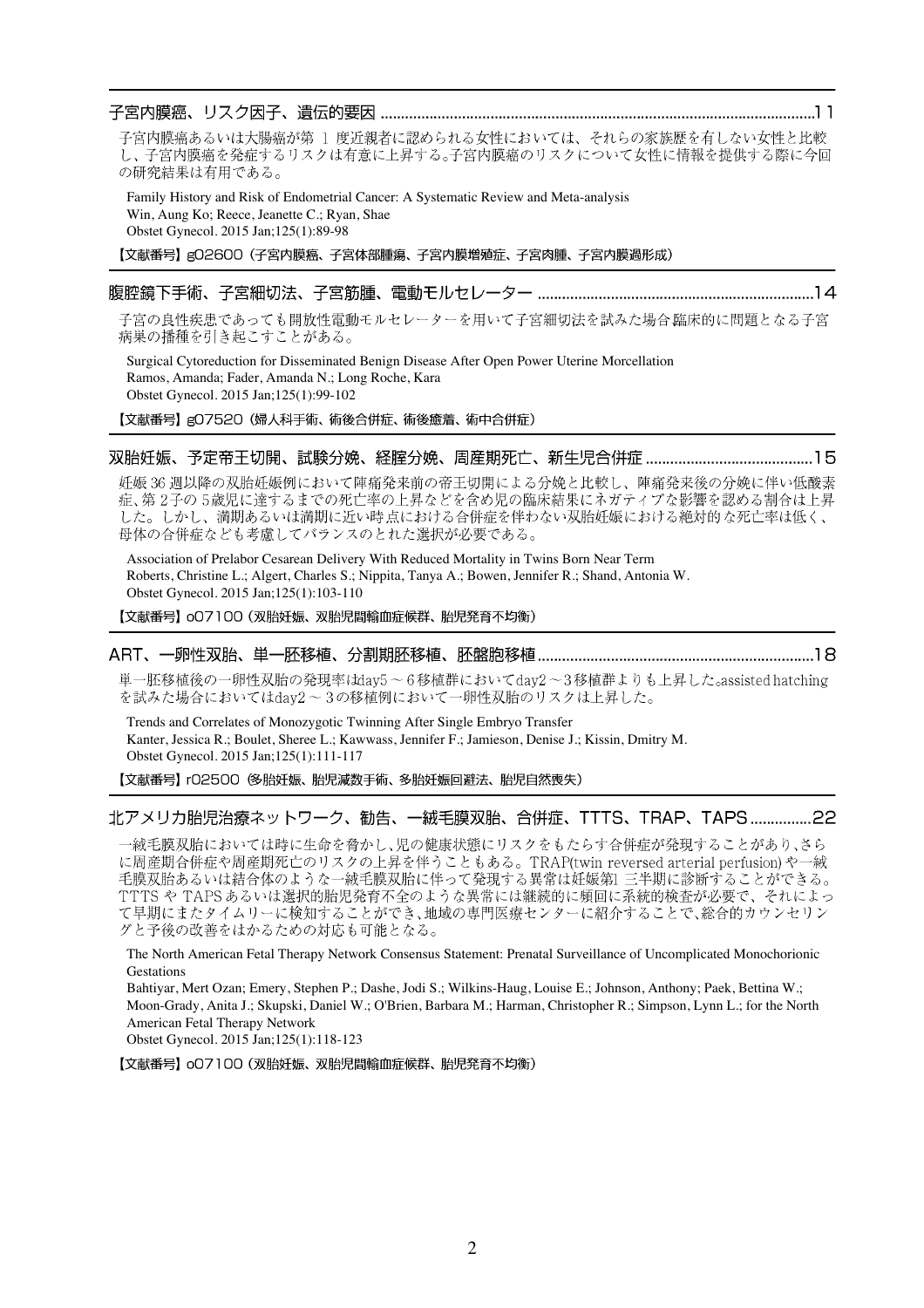子宮内膜癌あるいは大腸癌が第 1 度近親者に認められる女性においては、それらの家族歴を有しない女性と比較 し、子宮内膜癌を発症するリスクは有意に上昇する。子宮内膜癌のリスクについて女性に情報を提供する際に今回 の研究結果は有用である。

Family History and Risk of Endometrial Cancer: A Systematic Review and Meta-analysis Win, Aung Ko; Reece, Jeanette C.; Ryan, Shae Obstet Gynecol. 2015 Jan;125(1):89-98

【文献番号】g02600 (子宮内膜癌、子宮体部腫瘍、子宮内膜増殖症、子宮肉腫、子宮内膜過形成)

## 

子宮の良性疾患であっても開放性電動モルセレーターを用いて子宮細切法を試みた場合臨床的に問題となる子宮 病巣の播種を引き起こすことがある。

Surgical Cytoreduction for Disseminated Benign Disease After Open Power Uterine Morcellation Ramos, Amanda; Fader, Amanda N.; Long Roche, Kara Obstet Gynecol. 2015 Jan;125(1):99-102

【文献番号】gO7520 (婦人科手術、術後合併症、術後癒着、術中合併症)

#### 

妊娠36週以降の双胎妊娠例において陣痛発来前の帝王切開による分娩と比較し、陣痛発来後の分娩に伴い低酸素 症、第2子の5歳児に達するまでの死亡率の上昇などを含め児の臨床結果にネガティブな影響を認める割合は上昇 した。しかし、満期あるいは満期に近い時点における合併症を伴わない双胎妊娠における絶対的な死亡率は低く、 母体の合併症なども考慮してバランスのとれた選択が必要である。

Association of Prelabor Cesarean Delivery With Reduced Mortality in Twins Born Near Term Roberts, Christine L.; Algert, Charles S.; Nippita, Tanya A.; Bowen, Jennifer R.; Shand, Antonia W. Obstet Gynecol. 2015 Jan;125(1):103-110

【文献番号】oO7100 (双胎妊娠、双胎児間輸血症候群、胎児発育不均衡)

#### 

単一胚移植後の一卵性双胎の発現率はdav5~6移植群においてdav2~3移植群よりも上昇した<sub>c</sub>assisted hatching を試みた場合においてはdav2~3の移植例において一卵性双胎のリスクは上昇した。

Trends and Correlates of Monozygotic Twinning After Single Embryo Transfer Kanter, Jessica R.; Boulet, Sheree L.; Kawwass, Jennifer F.; Jamieson, Denise J.; Kissin, Dmitry M. Obstet Gynecol. 2015 Jan;125(1):111-117

【文献番号】 r02500 多胎妊娠、胎児減数手術、多胎妊娠回避法、胎児自然喪失)

## 北アメリカ胎児治療ネットワーク、勧告、一絨毛膜双胎、合併症、TTTS、TRAP、TAPS................22

一絨毛膜双胎においては時に生命を脅かし、児の健康状態にリスクをもたらす合併症が発現することがあり、さら 、『原題集合作記》、『説明』という。『『この上昇を伴うこと』という。』『RAP(twin\_reversed arterial perfusion) や一絨<br>毛膜双胎あるいは結合体のような一絨毛膜双胎に伴って発現する異常は妊娠第1 三半期に診断することができる。 TTTS や TAPS あるいは選択的胎児発育不全のような異常には継続的に頻回に系統的検査が必要で、それによっ て早期にまたタイムリーに検知することができ、地域の専門医療センターに紹介することで、総合的カウンセリン グと予後の改善をはかるための対応も可能となる。

The North American Fetal Therapy Network Consensus Statement: Prenatal Surveillance of Uncomplicated Monochorionic **Gestations** 

Bahtiyar, Mert Ozan; Emery, Stephen P.; Dashe, Jodi S.; Wilkins-Haug, Louise E.; Johnson, Anthony; Paek, Bettina W.; Moon-Grady, Anita J.; Skupski, Daniel W.; O'Brien, Barbara M.; Harman, Christopher R.; Simpson, Lynn L.; for the North American Fetal Therapy Network

Obstet Gynecol. 2015 Jan;125(1):118-123

【文献番号】oO7100 (双胎妊娠、双胎児間輸血症候群、胎児発育不均衡)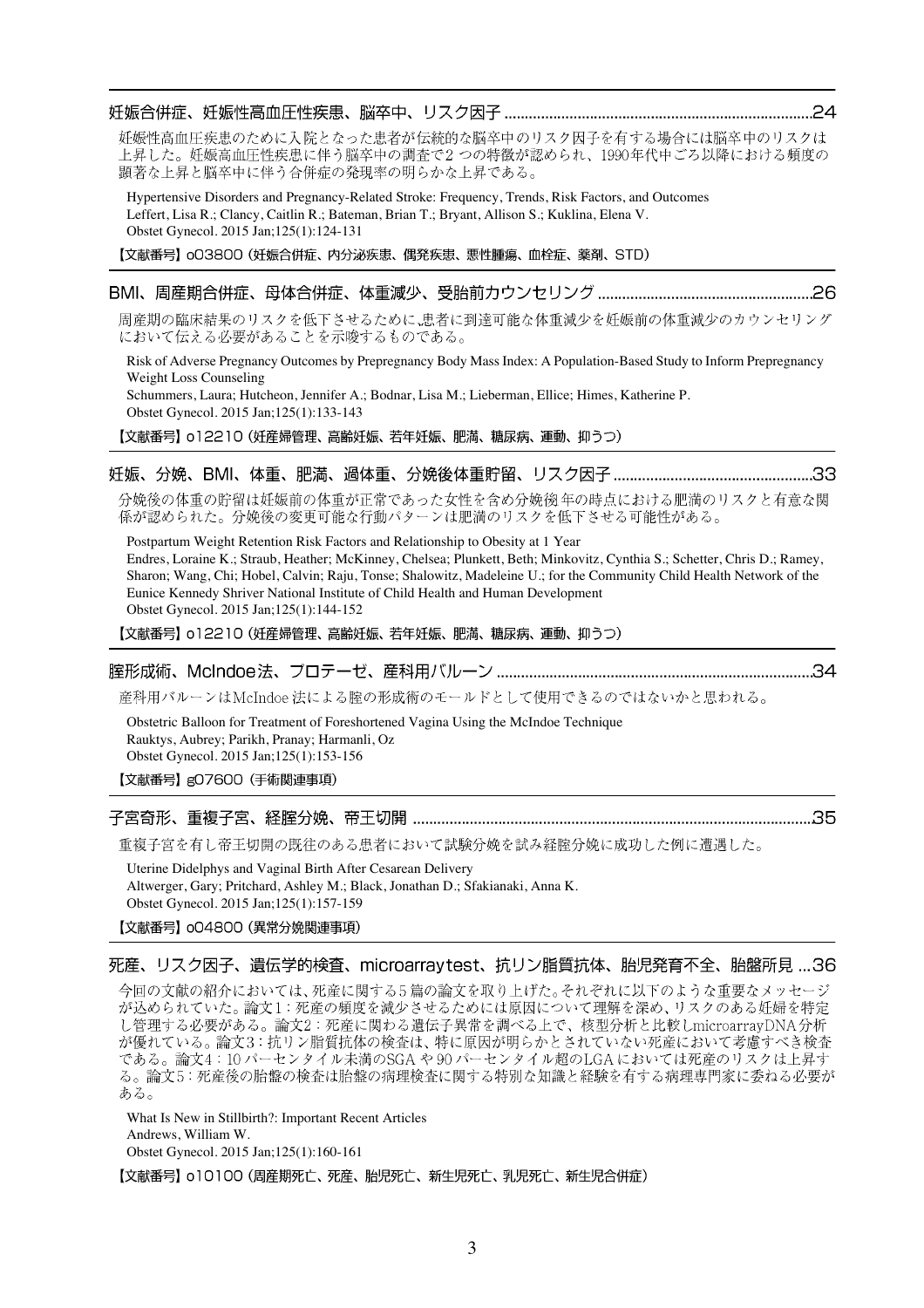妊娠性高血圧疾患のために入院となった患者が伝統的な脳卒中のリスク因子を有する場合には脳卒中のリスクは 上昇した。妊娠高血圧性疾患に伴う脳卒中の調査で2つの特徴が認められ、1990年代中ごろ以降における頻度の 顕著な上昇と脳卒中に伴う合併症の発現率の明らかな上昇である。

Hypertensive Disorders and Pregnancy-Related Stroke: Frequency, Trends, Risk Factors, and Outcomes Leffert, Lisa R.; Clancy, Caitlin R.; Bateman, Brian T.; Bryant, Allison S.; Kuklina, Elena V. Obstet Gynecol. 2015 Jan;125(1):124-131

【文献番号】 003800 (妊娠合併症、内分泌疾患、偶発疾患、悪性腫瘍、血栓症、薬剤、STD)

# 

周産期の臨床結果のリスクを低下させるために、患者に到達可能な体重減少を妊娠前の体重減少のカウンセリング において伝える必要があることを示唆するものである。

Risk of Adverse Pregnancy Outcomes by Prepregnancy Body Mass Index: A Population-Based Study to Inform Prepregnancy Weight Loss Counseling

Schummers, Laura; Hutcheon, Jennifer A.; Bodnar, Lisa M.; Lieberman, Ellice; Himes, Katherine P. Obstet Gynecol. 2015 Jan;125(1):133-143

【文献番号】 o12210 (妊産婦管理、高齢妊娠、若年妊娠、肥満、糖尿病、運動、抑うつ)

分娩後の体重の貯留は妊娠前の体重が正常であった女性を含め分娩後年の時点における肥満のリスクと有意な関 係が認められた。分娩後の変更可能な行動パターンは肥満のリスクを低下させる可能性がある。

Postpartum Weight Retention Risk Factors and Relationship to Obesity at 1 Year Endres, Loraine K.; Straub, Heather; McKinney, Chelsea; Plunkett, Beth; Minkovitz, Cynthia S.; Schetter, Chris D.; Ramey, Sharon; Wang, Chi; Hobel, Calvin; Raju, Tonse; Shalowitz, Madeleine U.; for the Community Child Health Network of the Eunice Kennedy Shriver National Institute of Child Health and Human Development Obstet Gynecol. 2015 Jan;125(1):144-152

【文献番号】 o12210 (妊産婦管理、高齢妊娠、若年妊娠、肥満、糖尿病、運動、抑うつ)

## 

産科用バルーンはMcIndoe 法による腟の形成術のモールドとして使用できるのではないかと思われる。

Obstetric Balloon for Treatment of Foreshortened Vagina Using the McIndoe Technique Rauktys, Aubrey; Parikh, Pranay; Harmanli, Oz Obstet Gynecol. 2015 Jan;125(1):153-156 【文献番号】gO7600 (手術関連事項)

重複子宮を有し帝王切開の既往のある患者において試験分娩を試み経腟分娩に成功した例に遭遇した。

Uterine Didelphys and Vaginal Birth After Cesarean Delivery Altwerger, Gary; Pritchard, Ashley M.; Black, Jonathan D.; Sfakianaki, Anna K. Obstet Gynecol. 2015 Jan;125(1):157-159

【文献番号】 oO4800 (異常分娩関連事項)

### 死産、リスク因子、遺伝学的検査、microarraytest、抗リン脂質抗体、胎児発育不全、胎盤所見 …36

今回の文献の紹介においては、死産に関する5 篇の論文を取り上げた。それぞれに以下のような重要なメッセージ が込められていた。論文1:死産の頻度を減少させるためには原因について理解を深め、リスクのある妊婦を特定 し管理する必要がある。論文2:死産に関わる遺伝子異常を調べる上で、核型分析と比較しmicroarrayDNA分析 が優れている。論文3:抗リン脂質抗体の検査は、特に原因が明らかとされていない死産において考慮すべき検査 である。論文4:10 パーセンタイル未満のSGA や 90 パーセンタイル超のLGA においては死産のリスクは上昇す る。論文5:死産後の胎盤の検査は胎盤の病理検査に関する特別な知識と経験を有する病理専門家に委ねる必要が ある。

What Is New in Stillbirth?: Important Recent Articles Andrews, William W. Obstet Gynecol. 2015 Jan;125(1):160-161

【文献番号】 o10100 (周産期死亡、死産、胎児死亡、新生児死亡、乳児死亡、新生児合併症)